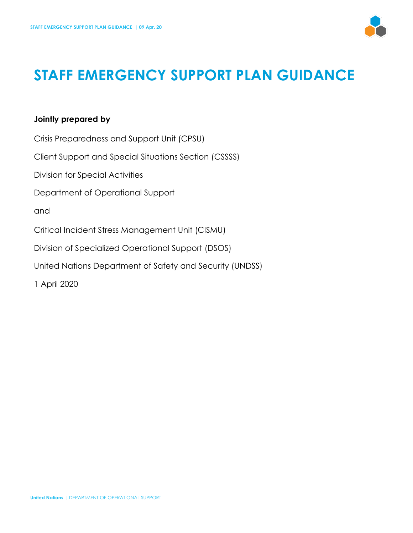

# **STAFF EMERGENCY SUPPORT PLAN GUIDANCE**

#### **Jointly prepared by**

Crisis Preparedness and Support Unit (CPSU) Client Support and Special Situations Section (CSSSS) Division for Special Activities Department of Operational Support and Critical Incident Stress Management Unit (CISMU) Division of Specialized Operational Support (DSOS) United Nations Department of Safety and Security (UNDSS) 1 April 2020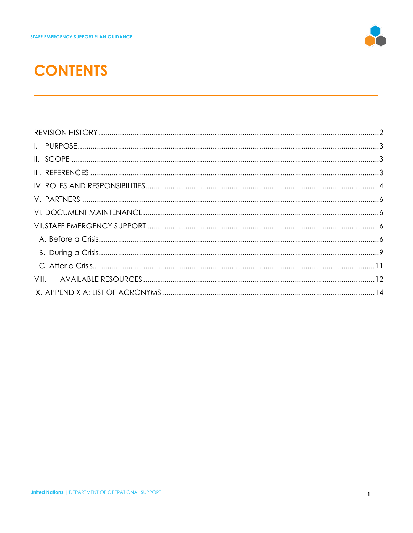

# **CONTENTS**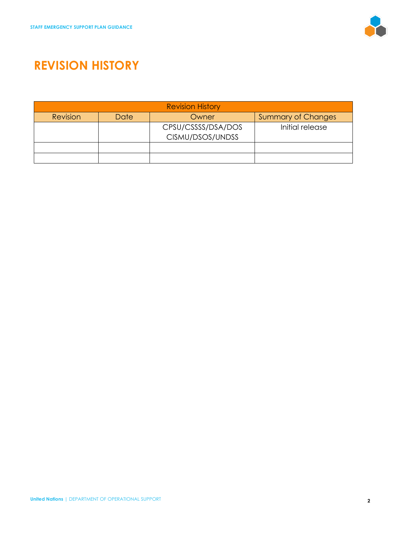

# <span id="page-2-0"></span>**REVISION HISTORY**

| <b>Revision History</b> |      |                                        |                           |
|-------------------------|------|----------------------------------------|---------------------------|
| Revision                | Date | Owner                                  | <b>Summary of Changes</b> |
|                         |      | CPSU/CSSSS/DSA/DOS<br>CISMU/DSOS/UNDSS | Initial release           |
|                         |      |                                        |                           |
|                         |      |                                        |                           |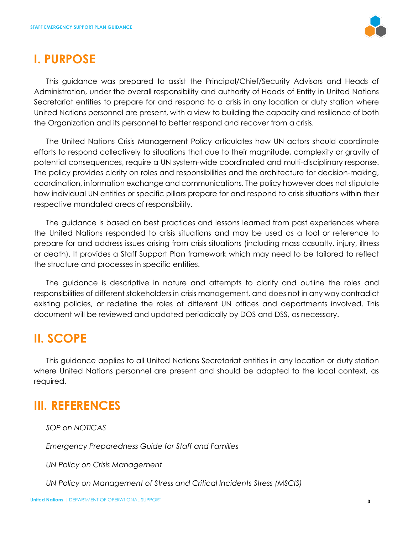

### <span id="page-3-0"></span>**I. PURPOSE**

This guidance was prepared to assist the Principal/Chief/Security Advisors and Heads of Administration, under the overall responsibility and authority of Heads of Entity in United Nations Secretariat entities to prepare for and respond to a crisis in any location or duty station where United Nations personnel are present, with a view to building the capacity and resilience of both the Organization and its personnel to better respond and recover from a crisis.

The United Nations Crisis Management Policy articulates how UN actors should coordinate efforts to respond collectively to situations that due to their magnitude, complexity or gravity of potential consequences, require a UN system-wide coordinated and multi-disciplinary response. The policy provides clarity on roles and responsibilities and the architecture for decision-making, coordination, information exchange and communications. The policy however does not stipulate how individual UN entities or specific pillars prepare for and respond to crisis situations within their respective mandated areas of responsibility.

The guidance is based on best practices and lessons learned from past experiences where the United Nations responded to crisis situations and may be used as a tool or reference to prepare for and address issues arising from crisis situations (including mass casualty, injury, illness or death). It provides a Staff Support Plan framework which may need to be tailored to reflect the structure and processes in specific entities.

The guidance is descriptive in nature and attempts to clarify and outline the roles and responsibilities of different stakeholders in crisis management, and does not in any way contradict existing policies, or redefine the roles of different UN offices and departments involved. This document will be reviewed and updated periodically by DOS and DSS, as necessary.

### <span id="page-3-1"></span>**II. SCOPE**

This guidance applies to all United Nations Secretariat entities in any location or duty station where United Nations personnel are present and should be adapted to the local context, as required.

## <span id="page-3-2"></span>**III. REFERENCES**

*SOP on NOTICAS*

*Emergency Preparedness Guide for Staff and Families* 

*UN Policy on Crisis Management*

*UN Policy on Management of Stress and Critical Incidents Stress (MSCIS)*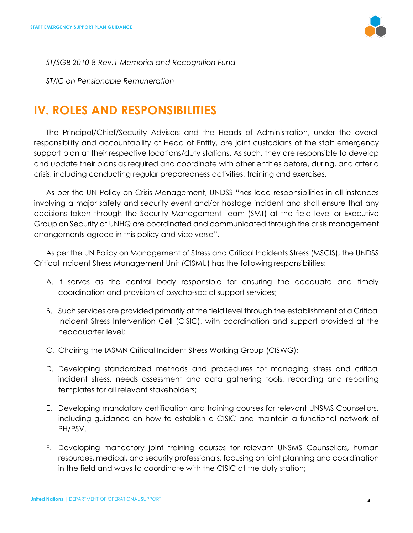

*ST/SGB 2010-8-Rev.1 Memorial and Recognition Fund* 

*ST/IC on Pensionable Remuneration*

### <span id="page-4-0"></span>**IV. ROLES AND RESPONSIBILITIES**

The Principal/Chief/Security Advisors and the Heads of Administration, under the overall responsibility and accountability of Head of Entity, are joint custodians of the staff emergency support plan at their respective locations/duty stations. As such, they are responsible to develop and update their plans as required and coordinate with other entities before, during, and after a crisis, including conducting regular preparedness activities, training and exercises.

As per the UN Policy on Crisis Management, UNDSS "has lead responsibilities in all instances involving a major safety and security event and/or hostage incident and shall ensure that any decisions taken through the Security Management Team (SMT) at the field level or Executive Group on Security at UNHQ are coordinated and communicated through the crisis management arrangements agreed in this policy and vice versa".

As per the UN Policy on Management of Stress and Critical Incidents Stress (MSCIS), the UNDSS Critical Incident Stress Management Unit (CISMU) has the following responsibilities:

- A. It serves as the central body responsible for ensuring the adequate and timely coordination and provision of psycho-social support services;
- B. Such services are provided primarily at the field level through the establishment of a Critical Incident Stress Intervention Cell (CISIC), with coordination and support provided at the headquarter level;
- C. Chairing the IASMN Critical Incident Stress Working Group (CISWG);
- D. Developing standardized methods and procedures for managing stress and critical incident stress, needs assessment and data gathering tools, recording and reporting templates for all relevant stakeholders;
- E. Developing mandatory certification and training courses for relevant UNSMS Counsellors, including guidance on how to establish a CISIC and maintain a functional network of PH/PSV.
- F. Developing mandatory joint training courses for relevant UNSMS Counsellors, human resources, medical, and security professionals, focusing on joint planning and coordination in the field and ways to coordinate with the CISIC at the duty station;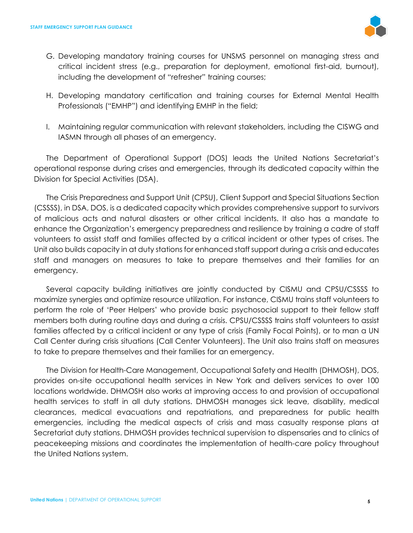

- G. Developing mandatory training courses for UNSMS personnel on managing stress and critical incident stress (e.g., preparation for deployment, emotional first-aid, burnout), including the development of "refresher" training courses;
- H. Developing mandatory certification and training courses for External Mental Health Professionals ("EMHP") and identifying EMHP in the field;
- I. Maintaining regular communication with relevant stakeholders, including the CISWG and IASMN through all phases of an emergency.

The Department of Operational Support (DOS) leads the United Nations Secretariat's operational response during crises and emergencies, through its dedicated capacity within the Division for Special Activities (DSA).

The Crisis Preparedness and Support Unit (CPSU), Client Support and Special Situations Section (CSSSS), in DSA, DOS, is a dedicated capacity which provides comprehensive support to survivors of malicious acts and natural disasters or other critical incidents. It also has a mandate to enhance the Organization's emergency preparedness and resilience by training a cadre of staff volunteers to assist staff and families affected by a critical incident or other types of crises. The Unit also builds capacity in at duty stations for enhanced staff support during a crisis and educates staff and managers on measures to take to prepare themselves and their families for an emergency.

Several capacity building initiatives are jointly conducted by CISMU and CPSU/CSSSS to maximize synergies and optimize resource utilization. For instance, CISMU trains staff volunteers to perform the role of 'Peer Helpers' who provide basic psychosocial support to their fellow staff members both during routine days and during a crisis. CPSU/CSSSS trains staff volunteers to assist families affected by a critical incident or any type of crisis (Family Focal Points), or to man a UN Call Center during crisis situations (Call Center Volunteers). The Unit also trains staff on measures to take to prepare themselves and their families for an emergency.

The Division for Health-Care Management, Occupational Safety and Health (DHMOSH), DOS, provides on-site occupational health services in New York and delivers services to over 100 locations worldwide. DHMOSH also works at improving access to and provision of occupational health services to staff in all duty stations. DHMOSH manages sick leave, disability, medical clearances, medical evacuations and repatriations, and preparedness for public health emergencies, including the medical aspects of crisis and mass casualty response plans at Secretariat duty stations. DHMOSH provides technical supervision to dispensaries and to clinics of peacekeeping missions and coordinates the implementation of health-care policy throughout the United Nations system.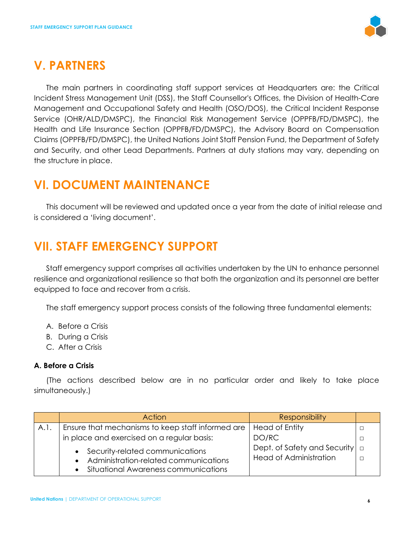

### <span id="page-6-0"></span>**V. PARTNERS**

The main partners in coordinating staff support services at Headquarters are: the Critical Incident Stress Management Unit (DSS), the Staff Counsellor's Offices, the Division of Health-Care Management and Occupational Safety and Health (OSO/DOS), the Critical Incident Response Service (OHR/ALD/DMSPC), the Financial Risk Management Service (OPPFB/FD/DMSPC), the Health and Life Insurance Section (OPPFB/FD/DMSPC), the Advisory Board on Compensation Claims (OPPFB/FD/DMSPC), the United Nations Joint Staff Pension Fund, the Department of Safety and Security, and other Lead Departments. Partners at duty stations may vary, depending on the structure in place.

### <span id="page-6-1"></span>**VI. DOCUMENT MAINTENANCE**

This document will be reviewed and updated once a year from the date of initial release and is considered a 'living document'.

# <span id="page-6-2"></span>**VII. STAFF EMERGENCY SUPPORT**

Staff emergency support comprises all activities undertaken by the UN to enhance personnel resilience and organizational resilience so that both the organization and its personnel are better equipped to face and recover from a crisis.

The staff emergency support process consists of the following three fundamental elements:

- A. Before a Crisis
- B. During a Crisis
- C. After a Crisis

#### <span id="page-6-3"></span>**A. Before a Crisis**

(The actions described below are in no particular order and likely to take place simultaneously.)

|      | Action                                            | <b>Responsibility</b>               |  |
|------|---------------------------------------------------|-------------------------------------|--|
| A.I. | Ensure that mechanisms to keep staff informed are | <b>Head of Entity</b>               |  |
|      | in place and exercised on a regular basis:        | DO/RC                               |  |
|      | • Security-related communications                 | Dept. of Safety and Security $\Box$ |  |
|      | • Administration-related communications           | <b>Head of Administration</b>       |  |
|      | • Situational Awareness communications            |                                     |  |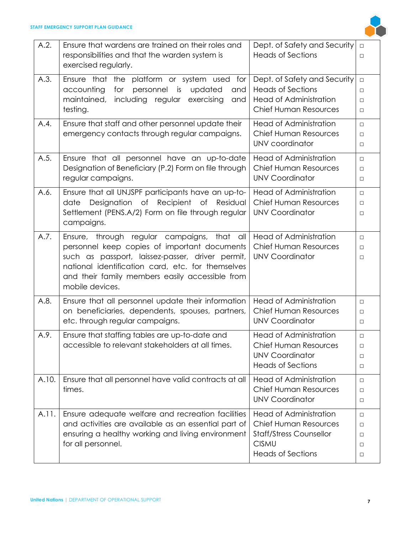

| A.2.  | Ensure that wardens are trained on their roles and                     | Dept. of Safety and Security   | $\Box$ |
|-------|------------------------------------------------------------------------|--------------------------------|--------|
|       | responsibilities and that the warden system is<br>exercised regularly. | <b>Heads of Sections</b>       | $\Box$ |
| A.3.  | Ensure that the platform or system used for                            | Dept. of Safety and Security   | $\Box$ |
|       | personnel<br>accounting<br>for<br>is<br>updated<br>and                 | <b>Heads of Sections</b>       | $\Box$ |
|       | maintained, including regular<br>exercising<br>and                     | <b>Head of Administration</b>  | $\Box$ |
|       | testing.                                                               | <b>Chief Human Resources</b>   | $\Box$ |
| A.4.  | Ensure that staff and other personnel update their                     | <b>Head of Administration</b>  | $\Box$ |
|       | emergency contacts through regular campaigns.                          | <b>Chief Human Resources</b>   | $\Box$ |
|       |                                                                        | UNV coordinator                | $\Box$ |
| A.5.  | Ensure that all personnel have an up-to-date                           | <b>Head of Administration</b>  | $\Box$ |
|       | Designation of Beneficiary (P.2) Form on file through                  | <b>Chief Human Resources</b>   | $\Box$ |
|       | regular campaigns.                                                     | <b>UNV Coordinator</b>         | $\Box$ |
| A.6.  | Ensure that all UNJSPF participants have an up-to-                     | <b>Head of Administration</b>  | $\Box$ |
|       | Designation of Recipient<br>$\circ$ f<br>date<br>Residual              | <b>Chief Human Resources</b>   | $\Box$ |
|       | Settlement (PENS.A/2) Form on file through regular                     | <b>UNV Coordinator</b>         | $\Box$ |
|       | campaigns.                                                             |                                |        |
| A.7.  | Ensure, through regular campaigns, that<br>all                         | <b>Head of Administration</b>  | $\Box$ |
|       | personnel keep copies of important documents                           | <b>Chief Human Resources</b>   | $\Box$ |
|       | such as passport, laissez-passer, driver permit,                       | <b>UNV Coordinator</b>         | □      |
|       | national identification card, etc. for themselves                      |                                |        |
|       | and their family members easily accessible from                        |                                |        |
|       | mobile devices.                                                        |                                |        |
| A.8.  | Ensure that all personnel update their information                     | <b>Head of Administration</b>  | $\Box$ |
|       | on beneficiaries, dependents, spouses, partners,                       | <b>Chief Human Resources</b>   | $\Box$ |
|       | etc. through regular campaigns.                                        | <b>UNV Coordinator</b>         | $\Box$ |
| A.9.  | Ensure that staffing tables are up-to-date and                         | <b>Head of Administration</b>  | $\Box$ |
|       | accessible to relevant stakeholders at all times.                      | <b>Chief Human Resources</b>   | □      |
|       |                                                                        | <b>UNV Coordinator</b>         | □      |
|       |                                                                        | <b>Heads of Sections</b>       | $\Box$ |
| A.10. | Ensure that all personnel have valid contracts at all                  | <b>Head of Administration</b>  | $\Box$ |
|       | times.                                                                 | <b>Chief Human Resources</b>   | □      |
|       |                                                                        | <b>UNV Coordinator</b>         | $\Box$ |
| A.11. | Ensure adequate welfare and recreation facilities                      | <b>Head of Administration</b>  | $\Box$ |
|       | and activities are available as an essential part of                   | <b>Chief Human Resources</b>   | □      |
|       | ensuring a healthy working and living environment                      | <b>Staff/Stress Counsellor</b> | □      |
|       | for all personnel.                                                     | <b>CISMU</b>                   | □      |
|       |                                                                        | <b>Heads of Sections</b>       | $\Box$ |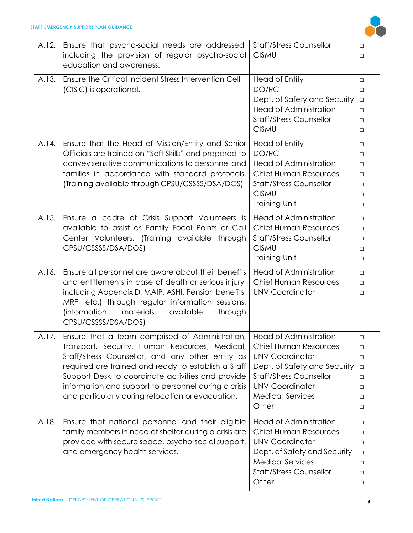

| A.12. | Ensure that psycho-social needs are addressed,<br>including the provision of regular psycho-social<br>education and awareness.                                                                                                                                                                                                                                                                          | <b>Staff/Stress Counsellor</b><br><b>CISMU</b>                                                                                                                                         | $\Box$<br>$\Box$                                                             |
|-------|---------------------------------------------------------------------------------------------------------------------------------------------------------------------------------------------------------------------------------------------------------------------------------------------------------------------------------------------------------------------------------------------------------|----------------------------------------------------------------------------------------------------------------------------------------------------------------------------------------|------------------------------------------------------------------------------|
| A.13. | Ensure the Critical Incident Stress Intervention Cell<br>(CISIC) is operational.                                                                                                                                                                                                                                                                                                                        | <b>Head of Entity</b><br>DO/RC<br>Dept. of Safety and Security<br><b>Head of Administration</b><br><b>Staff/Stress Counsellor</b><br><b>CISMU</b>                                      | $\Box$<br>$\Box$<br>$\Box$<br>$\Box$<br>$\Box$<br>$\Box$                     |
| A.14. | Ensure that the Head of Mission/Entity and Senior<br>Officials are trained on "Soft Skills" and prepared to<br>convey sensitive communications to personnel and<br>families in accordance with standard protocols.<br>(Training available through CPSU/CSSSS/DSA/DOS)                                                                                                                                   | Head of Entity<br>DO/RC<br>Head of Administration<br><b>Chief Human Resources</b><br><b>Staff/Stress Counsellor</b><br><b>CISMU</b><br><b>Training Unit</b>                            | $\Box$<br>$\Box$<br>$\Box$<br>$\Box$<br>$\Box$<br>$\Box$<br>$\Box$           |
| A.15. | Ensure a cadre of Crisis Support Volunteers is<br>available to assist as Family Focal Points or Call<br>Center Volunteers. (Training available through<br>CPSU/CSSSS/DSA/DOS)                                                                                                                                                                                                                           | <b>Head of Administration</b><br><b>Chief Human Resources</b><br><b>Staff/Stress Counsellor</b><br><b>CISMU</b><br><b>Training Unit</b>                                                | $\Box$<br>$\Box$<br>$\Box$<br>$\Box$<br>$\Box$                               |
| A.16. | Ensure all personnel are aware about their benefits<br>and entitlements in case of death or serious injury,<br>including Appendix D, MAIP, ASHI, Pension benefits,<br>MRF, etc.) through regular information sessions.<br>(information<br>materials<br>available<br>through<br>CPSU/CSSSS/DSA/DOS)                                                                                                      | <b>Head of Administration</b><br>Chief Human Resources<br><b>UNV Coordinator</b>                                                                                                       | $\Box$<br>$\Box$<br>$\Box$                                                   |
| A.17. | Ensure that a team comprised of Administration,   Head of Administration<br>Transport, Security, Human Resources, Medical,<br>Staff/Stress Counsellor, and any other entity as<br>required are trained and ready to establish a Staff<br>Support Desk to coordinate activities and provide<br>information and support to personnel during a crisis<br>and particularly during relocation or evacuation. | <b>Chief Human Resources</b><br><b>UNV Coordinator</b><br>Dept. of Safety and Security<br><b>Staff/Stress Counsellor</b><br><b>UNV Coordinator</b><br><b>Medical Services</b><br>Other | $\Box$<br>$\Box$<br>$\Box$<br>$\Box$<br>$\Box$<br>$\Box$<br>$\Box$<br>$\Box$ |
| A.18. | Ensure that national personnel and their eligible<br>family members in need of shelter during a crisis are<br>provided with secure space, psycho-social support,<br>and emergency health services.                                                                                                                                                                                                      | <b>Head of Administration</b><br>Chief Human Resources<br><b>UNV Coordinator</b><br>Dept. of Safety and Security<br><b>Medical Services</b><br><b>Staff/Stress Counsellor</b><br>Other | $\Box$<br>$\Box$<br>$\Box$<br>$\Box$<br>$\Box$<br>$\Box$<br>$\Box$           |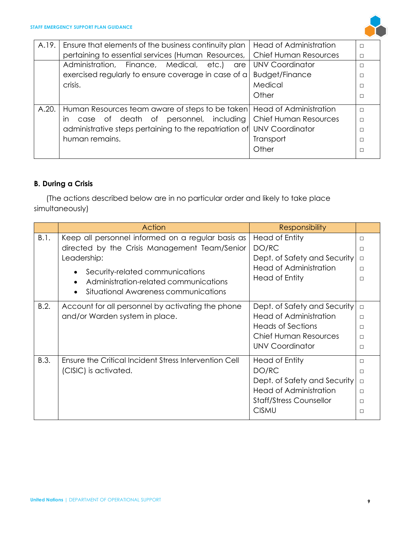

| A.19. | Ensure that elements of the business continuity plan                        | <b>Head of Administration</b> | П      |
|-------|-----------------------------------------------------------------------------|-------------------------------|--------|
|       | pertaining to essential services (Human Resources,                          | <b>Chief Human Resources</b>  | П      |
|       | Administration, Finance, Medical, etc.)<br>are                              | <b>UNV Coordinator</b>        | $\Box$ |
|       | exercised regularly to ensure coverage in case of a                         | <b>Budget/Finance</b>         |        |
|       | crisis.                                                                     | Medical                       |        |
|       |                                                                             | Other                         | $\Box$ |
| A.20. | Human Resources team aware of steps to be taken   Head of Administration    |                               | $\Box$ |
|       | case of death of personnel, including Chief Human Resources<br>$\mathsf{I}$ |                               |        |
|       | administrative steps pertaining to the repatriation of UNV Coordinator      |                               |        |
|       | human remains.                                                              | Transport                     |        |
|       |                                                                             | Other                         |        |

#### <span id="page-9-0"></span>**B. During a Crisis**

(The actions described below are in no particular order and likely to take place simultaneously)

|      | Action                                                | <b>Responsibility</b>          |        |
|------|-------------------------------------------------------|--------------------------------|--------|
| B.1. | Keep all personnel informed on a regular basis as     | Head of Entity                 | П      |
|      | directed by the Crisis Management Team/Senior         | DO/RC                          | □      |
|      | Leadership:                                           | Dept. of Safety and Security   | $\Box$ |
|      | Security-related communications                       | <b>Head of Administration</b>  | $\Box$ |
|      | Administration-related communications                 | Head of Entity                 | □      |
|      | Situational Awareness communications                  |                                |        |
| B.2. | Account for all personnel by activating the phone     | Dept. of Safety and Security   | $\Box$ |
|      | and/or Warden system in place.                        | Head of Administration         | $\Box$ |
|      |                                                       | <b>Heads of Sections</b>       | П      |
|      |                                                       | <b>Chief Human Resources</b>   | $\Box$ |
|      |                                                       | UNV Coordinator                | П      |
| B.3. | Ensure the Critical Incident Stress Intervention Cell | Head of Entity                 | П      |
|      | (CISIC) is activated.                                 | DO/RC                          | $\Box$ |
|      |                                                       | Dept. of Safety and Security   | $\Box$ |
|      |                                                       | <b>Head of Administration</b>  | $\Box$ |
|      |                                                       | <b>Staff/Stress Counsellor</b> | $\Box$ |
|      |                                                       | <b>CISMU</b>                   | □      |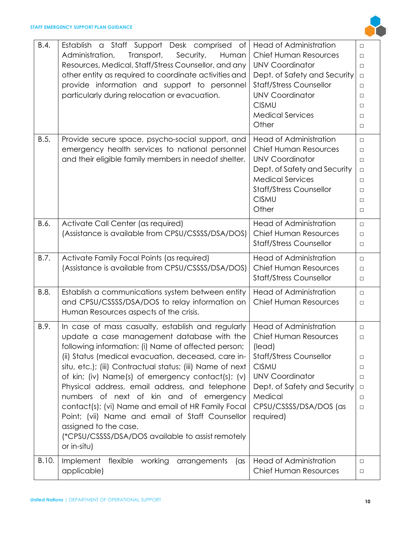

| B.4.  | Establish a Staff Support Desk comprised of<br>Administration,<br>Transport,<br>Security,<br>Human<br>Resources, Medical, Staff/Stress Counsellor, and any<br>other entity as required to coordinate activities and<br>provide information and support to personnel<br>particularly during relocation or evacuation.                                                                                                                                                                                                                                                                                                               | <b>Head of Administration</b><br><b>Chief Human Resources</b><br><b>UNV Coordinator</b><br>Dept. of Safety and Security<br><b>Staff/Stress Counsellor</b><br><b>UNV Coordinator</b><br><b>CISMU</b><br><b>Medical Services</b><br>Other | $\Box$<br>$\Box$<br>$\Box$<br>$\Box$<br>$\Box$<br>$\Box$<br>$\Box$<br>$\Box$<br>$\Box$ |
|-------|------------------------------------------------------------------------------------------------------------------------------------------------------------------------------------------------------------------------------------------------------------------------------------------------------------------------------------------------------------------------------------------------------------------------------------------------------------------------------------------------------------------------------------------------------------------------------------------------------------------------------------|-----------------------------------------------------------------------------------------------------------------------------------------------------------------------------------------------------------------------------------------|----------------------------------------------------------------------------------------|
| B.5.  | Provide secure space, psycho-social support, and<br>emergency health services to national personnel<br>and their eligible family members in need of shelter.                                                                                                                                                                                                                                                                                                                                                                                                                                                                       | <b>Head of Administration</b><br><b>Chief Human Resources</b><br><b>UNV Coordinator</b><br>Dept. of Safety and Security<br><b>Medical Services</b><br><b>Staff/Stress Counsellor</b><br><b>CISMU</b><br>Other                           | $\Box$<br>$\Box$<br>$\Box$<br>$\Box$<br>$\Box$<br>$\Box$<br>$\Box$<br>$\Box$           |
| B.6.  | Activate Call Center (as required)<br>(Assistance is available from CPSU/CSSSS/DSA/DOS)                                                                                                                                                                                                                                                                                                                                                                                                                                                                                                                                            | <b>Head of Administration</b><br><b>Chief Human Resources</b><br><b>Staff/Stress Counsellor</b>                                                                                                                                         | $\Box$<br>$\Box$<br>$\Box$                                                             |
| B.7.  | Activate Family Focal Points (as required)<br>(Assistance is available from CPSU/CSSSS/DSA/DOS)                                                                                                                                                                                                                                                                                                                                                                                                                                                                                                                                    | <b>Head of Administration</b><br><b>Chief Human Resources</b><br><b>Staff/Stress Counsellor</b>                                                                                                                                         | $\Box$<br>$\Box$<br>$\Box$                                                             |
| B.8.  | Establish a communications system between entity<br>and CPSU/CSSSS/DSA/DOS to relay information on<br>Human Resources aspects of the crisis.                                                                                                                                                                                                                                                                                                                                                                                                                                                                                       | <b>Head of Administration</b><br><b>Chief Human Resources</b>                                                                                                                                                                           | $\Box$<br>$\Box$                                                                       |
| B.9.  | In case of mass casualty, establish and regularly<br>update a case management database with the<br>following information: (i) Name of affected person;<br>(ii) Status (medical evacuation, deceased, care in-<br>situ, etc.); (iii) Contractual status; (iii) Name of next<br>of kin; (iv) Name(s) of emergency contact(s); (v)<br>Physical address, email address, and telephone<br>numbers of next of kin and of emergency<br>contact(s); (vi) Name and email of HR Family Focal<br>Point; (vii) Name and email of Staff Counsellor<br>assigned to the case.<br>(*CPSU/CSSSS/DSA/DOS available to assist remotely<br>or in-situ) | <b>Head of Administration</b><br><b>Chief Human Resources</b><br>(lead)<br><b>Staff/Stress Counsellor</b><br><b>CISMU</b><br><b>UNV Coordinator</b><br>Dept. of Safety and Security<br>Medical<br>CPSU/CSSSS/DSA/DOS (as<br>required)   | $\Box$<br>$\Box$<br>$\Box$<br>$\Box$<br>$\Box$<br>$\Box$<br>$\Box$<br>$\Box$           |
| B.10. | Implement<br>flexible working<br>arrangements<br>$(\text{as}$<br>applicable)                                                                                                                                                                                                                                                                                                                                                                                                                                                                                                                                                       | <b>Head of Administration</b><br><b>Chief Human Resources</b>                                                                                                                                                                           | $\Box$<br>$\Box$                                                                       |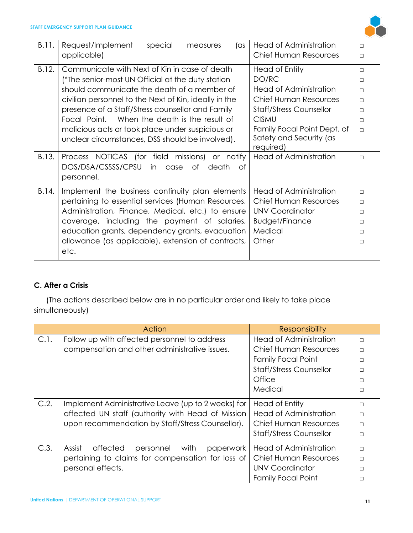

| B.11. | Request/Implement<br>special<br>(as<br>measures       | <b>Head of Administration</b>  | $\Box$ |
|-------|-------------------------------------------------------|--------------------------------|--------|
|       | applicable)                                           | <b>Chief Human Resources</b>   | $\Box$ |
| B.12. | Communicate with Next of Kin in case of death         | Head of Entity                 | $\Box$ |
|       | (*The senior-most UN Official at the duty station     | DO/RC                          | $\Box$ |
|       | should communicate the death of a member of           | Head of Administration         | $\Box$ |
|       | civilian personnel to the Next of Kin, ideally in the | <b>Chief Human Resources</b>   | $\Box$ |
|       | presence of a Staff/Stress counsellor and Family      | <b>Staff/Stress Counsellor</b> | $\Box$ |
|       | Focal Point. When the death is the result of          | <b>CISMU</b>                   | $\Box$ |
|       | malicious acts or took place under suspicious or      | Family Focal Point Dept. of    | $\Box$ |
|       | unclear circumstances, DSS should be involved).       | Safety and Security (as        |        |
|       |                                                       | required)                      |        |
| B.13. | Process NOTICAS (for field missions)<br>or notify     | <b>Head of Administration</b>  | $\Box$ |
|       | DOS/DSA/CSSSS/CPSU<br>in<br>case of<br>death<br>ot    |                                |        |
|       | personnel.                                            |                                |        |
| B.14. | Implement the business continuity plan elements       | <b>Head of Administration</b>  | $\Box$ |
|       | pertaining to essential services (Human Resources,    | <b>Chief Human Resources</b>   | $\Box$ |
|       | Administration, Finance, Medical, etc.) to ensure     | <b>UNV Coordinator</b>         | $\Box$ |
|       | coverage, including the payment of salaries,          | <b>Budget/Finance</b>          | $\Box$ |
|       | education grants, dependency grants, evacuation       | Medical                        | $\Box$ |
|       | allowance (as applicable), extension of contracts,    | Other                          | $\Box$ |
|       | etc.                                                  |                                |        |
|       |                                                       |                                |        |

#### <span id="page-11-0"></span>**C. After a Crisis**

(The actions described below are in no particular order and likely to take place simultaneously)

|      | Action                                               | <b>Responsibility</b>          |        |
|------|------------------------------------------------------|--------------------------------|--------|
| C.1. | Follow up with affected personnel to address         | <b>Head of Administration</b>  | $\Box$ |
|      | compensation and other administrative issues.        | <b>Chief Human Resources</b>   | $\Box$ |
|      |                                                      | <b>Family Focal Point</b>      | П      |
|      |                                                      | <b>Staff/Stress Counsellor</b> | П      |
|      |                                                      | Office                         | П      |
|      |                                                      | Medical                        | П      |
| C.2. | Implement Administrative Leave (up to 2 weeks) for   | Head of Entity                 | $\Box$ |
|      | affected UN staff (authority with Head of Mission    | <b>Head of Administration</b>  | $\Box$ |
|      | upon recommendation by Staff/Stress Counsellor).     | <b>Chief Human Resources</b>   | П      |
|      |                                                      | <b>Staff/Stress Counsellor</b> | $\Box$ |
| C.3. | Assist<br>affected<br>with<br>personnel<br>paperwork | Head of Administration         | $\Box$ |
|      | pertaining to claims for compensation for loss of    | <b>Chief Human Resources</b>   | П      |
|      | personal effects.                                    | UNV Coordinator                | П      |
|      |                                                      | <b>Family Focal Point</b>      | П      |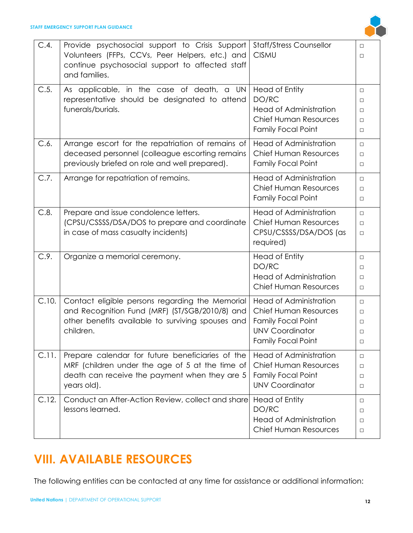

| C.4.  | Provide psychosocial support to Crisis Support<br>Volunteers (FFPs, CCVs, Peer Helpers, etc.) and<br>continue psychosocial support to affected staff<br>and families. | <b>Staff/Stress Counsellor</b><br><b>CISMU</b>                                                                                                    | $\Box$<br>$\Box$                               |
|-------|-----------------------------------------------------------------------------------------------------------------------------------------------------------------------|---------------------------------------------------------------------------------------------------------------------------------------------------|------------------------------------------------|
| C.5.  | As applicable, in the case of death, a UN<br>representative should be designated to attend<br>funerals/burials.                                                       | <b>Head of Entity</b><br>DO/RC<br><b>Head of Administration</b><br>Chief Human Resources<br><b>Family Focal Point</b>                             | $\Box$<br>$\Box$<br>$\Box$<br>$\Box$<br>$\Box$ |
| C.6.  | Arrange escort for the repatriation of remains of<br>deceased personnel (colleague escorting remains<br>previously briefed on role and well prepared).                | <b>Head of Administration</b><br><b>Chief Human Resources</b><br><b>Family Focal Point</b>                                                        | $\Box$<br>$\Box$<br>$\Box$                     |
| C.7.  | Arrange for repatriation of remains.                                                                                                                                  | <b>Head of Administration</b><br>Chief Human Resources<br><b>Family Focal Point</b>                                                               | $\Box$<br>$\Box$<br>$\Box$                     |
| C.8.  | Prepare and issue condolence letters.<br>(CPSU/CSSSS/DSA/DOS to prepare and coordinate<br>in case of mass casualty incidents)                                         | <b>Head of Administration</b><br>Chief Human Resources<br>CPSU/CSSSS/DSA/DOS (as<br>required)                                                     | $\Box$<br>$\Box$<br>$\Box$                     |
| C.9.  | Organize a memorial ceremony.                                                                                                                                         | <b>Head of Entity</b><br>DO/RC<br><b>Head of Administration</b><br><b>Chief Human Resources</b>                                                   | $\Box$<br>$\Box$<br>$\Box$<br>$\Box$           |
| C.10. | Contact eligible persons regarding the Memorial<br>and Recognition Fund (MRF) (ST/SGB/2010/8) and<br>other benefits available to surviving spouses and<br>children.   | <b>Head of Administration</b><br><b>Chief Human Resources</b><br><b>Family Focal Point</b><br><b>UNV Coordinator</b><br><b>Family Focal Point</b> | $\Box$<br>$\Box$<br>$\Box$<br>$\Box$<br>$\Box$ |
| C.11. | Prepare calendar for future beneficiaries of the<br>MRF (children under the age of 5 at the time of<br>death can receive the payment when they are 5<br>years old).   | <b>Head of Administration</b><br><b>Chief Human Resources</b><br><b>Family Focal Point</b><br><b>UNV Coordinator</b>                              | $\Box$<br>$\Box$<br>$\Box$<br>$\Box$           |
| C.12. | Conduct an After-Action Review, collect and share<br>lessons learned.                                                                                                 | <b>Head of Entity</b><br>DO/RC<br><b>Head of Administration</b><br>Chief Human Resources                                                          | $\Box$<br>□<br>$\Box$<br>$\Box$                |

## <span id="page-12-0"></span>**VIII. AVAILABLE RESOURCES**

The following entities can be contacted at any time for assistance or additional information: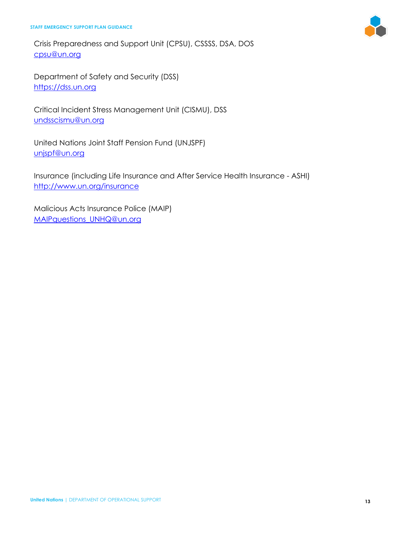Crisis Preparedness and Support Unit (CPSU), CSSSS, DSA, DOS [cpsu@un.org](mailto:cpsu@un.org)

Department of Safety and Security (DSS) [https://dss.un.org](https://dss.un.org/)

Critical Incident Stress Management Unit (CISMU), DSS [undsscismu@un.org](mailto:undsscismu@un.org)

United Nations Joint Staff Pension Fund (UNJSPF) [unjspf@un.org](mailto:unjspf@un.org)

Insurance (including Life Insurance and After Service Health Insurance - ASHI) <http://www.un.org/insurance>

Malicious Acts Insurance Police (MAIP) [MAIPquestions\\_UNHQ@un.org](mailto:MAIPquestions_UNHQ@un.org)